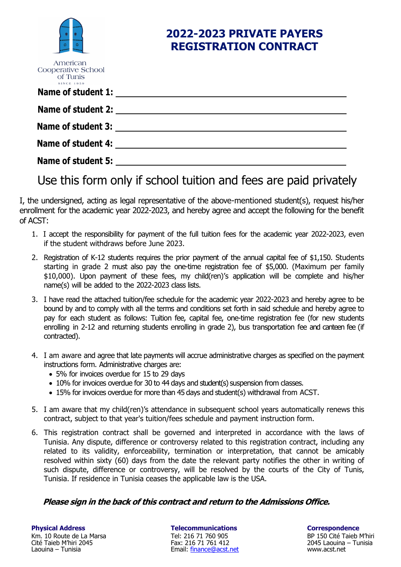|                                                                 | 2022-2023 PRIVATE PAYERS<br><b>REGISTRATION CONTRACT</b> |
|-----------------------------------------------------------------|----------------------------------------------------------|
| American<br>Cooperative School<br>of Tunis<br><b>SINCE 1959</b> |                                                          |
| Name of student 1:                                              |                                                          |
| <b>Name of student 2:</b>                                       |                                                          |
| Name of student 3:                                              |                                                          |
| <b>Name of student 4:</b>                                       |                                                          |
| <b>Name of student 5:</b>                                       |                                                          |

Use this form only if school tuition and fees are paid privately

I, the undersigned, acting as legal representative of the above-mentioned student(s), request his/her enrollment for the academic year 2022-2023, and hereby agree and accept the following for the benefit of ACST:

- 1. I accept the responsibility for payment of the full tuition fees for the academic year 2022-2023, even if the student withdraws before June 2023.
- 2. Registration of K-12 students requires the prior payment of the annual capital fee of \$1,150. Students starting in grade 2 must also pay the one-time registration fee of \$5,000. (Maximum per family \$10,000). Upon payment of these fees, my child(ren)'s application will be complete and his/her name(s) will be added to the 2022-2023 class lists.
- 3. I have read the attached tuition/fee schedule for the academic year 2022-2023 and hereby agree to be bound by and to comply with all the terms and conditions set forth in said schedule and hereby agree to pay for each student as follows: Tuition fee, capital fee, one-time registration fee (for new students enrolling in 2-12 and returning students enrolling in grade 2), bus transportation fee and canteen fee (if contracted).
- 4. I am aware and agree that late payments will accrue administrative charges as specified on the payment instructions form. Administrative charges are:
	- 5% for invoices overdue for 15 to 29 days
	- 10% for invoices overdue for 30 to 44 days and student(s) suspension from classes.
	- 15% for invoices overdue for more than 45 days and student(s) withdrawal from ACST.
- 5. I am aware that my child(ren)'s attendance in subsequent school years automatically renews this contract, subject to that year's tuition/fees schedule and payment instruction form.
- 6. This registration contract shall be governed and interpreted in accordance with the laws of Tunisia. Any dispute, difference or controversy related to this registration contract, including any related to its validity, enforceability, termination or interpretation, that cannot be amicably resolved within sixty (60) days from the date the relevant party notifies the other in writing of such dispute, difference or controversy, will be resolved by the courts of the City of Tunis, Tunisia. If residence in Tunisia ceases the applicable law is the USA.

## **Please sign in the back of this contract and return to the Admissions Office.**

**Physical Address Telecommunications Correspondence** Km. 10 Route de La Marsa Cité Taieb M'hiri 2045 Laouina – Tunisia

Tel: 216 71 760 905 Fax: 216 71 761 412 Email: finance@acst.net

BP 150 Cité Taieb M'hiri 2045 Laouina – Tunisia www.acst.net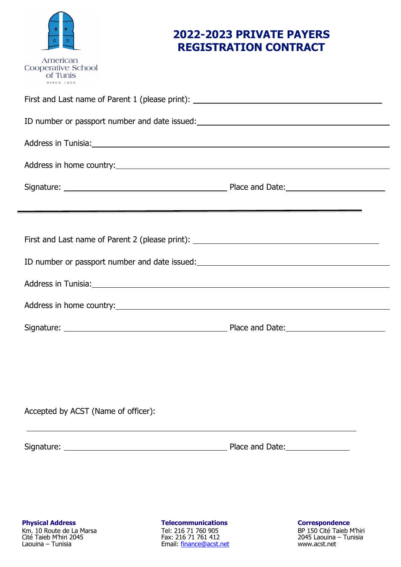

American

# **2022-2023 PRIVATE PAYERS REGISTRATION CONTRACT**

| Cooperative School<br>of Tunis<br><b>SINCE 1959</b>                                                           |  |
|---------------------------------------------------------------------------------------------------------------|--|
| First and Last name of Parent 1 (please print): ________________________________                              |  |
| ID number or passport number and date issued:<br><u>ID</u> number or passport number and date issued:         |  |
| Address in Tunisia: 2008 and 2008 and 2008 and 2008 and 2008 and 2008 and 2008 and 2008 and 2008 and 2008 and |  |
|                                                                                                               |  |
|                                                                                                               |  |
|                                                                                                               |  |
| First and Last name of Parent 2 (please print): ________________________________                              |  |
| ID number or passport number and date issued: __________________________________                              |  |
|                                                                                                               |  |
|                                                                                                               |  |
|                                                                                                               |  |
|                                                                                                               |  |
|                                                                                                               |  |
|                                                                                                               |  |
| Accepted by ACST (Name of officer):                                                                           |  |

Signature: Place and Date:

Km. 10 Route de La Marsa Cité Taieb M'hiri 2045 Laouina – Tunisia

**Physical Address Telecommunications Correspondence** Tel: 216 71 760 905 Fax: 216 71 761 412 Email: finance@acst.net

BP 150 Cité Taieb M'hiri 2045 Laouina – Tunisia www.acst.net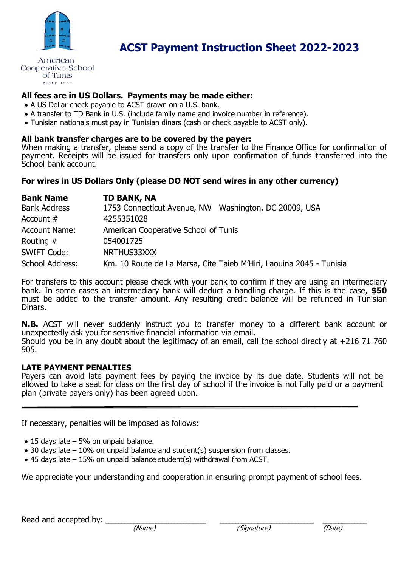

American Cooperative School of Tunis **SINCE 1959** 

## **All fees are in US Dollars. Payments may be made either:**

- A US Dollar check payable to ACST drawn on a U.S. bank.
- A transfer to TD Bank in U.S. (include family name and invoice number in reference).
- Tunisian nationals must pay in Tunisian dinars (cash or check payable to ACST only).

### **All bank transfer charges are to be covered by the payer:**

When making a transfer, please send a copy of the transfer to the Finance Office for confirmation of payment. Receipts will be issued for transfers only upon confirmation of funds transferred into the School bank account.

## **For wires in US Dollars Only (please DO NOT send wires in any other currency)**

| <b>Bank Name</b>     | <b>TD BANK, NA</b>                                                  |
|----------------------|---------------------------------------------------------------------|
| <b>Bank Address</b>  | 1753 Connecticut Avenue, NW Washington, DC 20009, USA               |
| Account $#$          | 4255351028                                                          |
| <b>Account Name:</b> | American Cooperative School of Tunis                                |
| Routing $#$          | 054001725                                                           |
| <b>SWIFT Code:</b>   | NRTHUS33XXX                                                         |
| School Address:      | Km. 10 Route de La Marsa, Cite Taieb M'Hiri, Laouina 2045 - Tunisia |

For transfers to this account please check with your bank to confirm if they are using an intermediary bank. In some cases an intermediary bank will deduct a handling charge. If this is the case, **\$50** must be added to the transfer amount. Any resulting credit balance will be refunded in Tunisian Dinars.

**N.B.** ACST will never suddenly instruct you to transfer money to a different bank account or unexpectedly ask you for sensitive financial information via email. Should you be in any doubt about the legitimacy of an email, call the school directly at  $+216$  71 760 905.

## **LATE PAYMENT PENALTIES**

Payers can avoid late payment fees by paying the invoice by its due date. Students will not be allowed to take a seat for class on the first day of school if the invoice is not fully paid or a payment plan (private payers only) has been agreed upon.

If necessary, penalties will be imposed as follows:

- $\bullet$  15 days late  $-5\%$  on unpaid balance.
- 30 days late 10% on unpaid balance and student(s) suspension from classes.
- 45 days late 15% on unpaid balance student(s) withdrawal from ACST.

We appreciate your understanding and cooperation in ensuring prompt payment of school fees.

Read and accepted by:  $\frac{1}{\text{Mean}}$ 

Ī